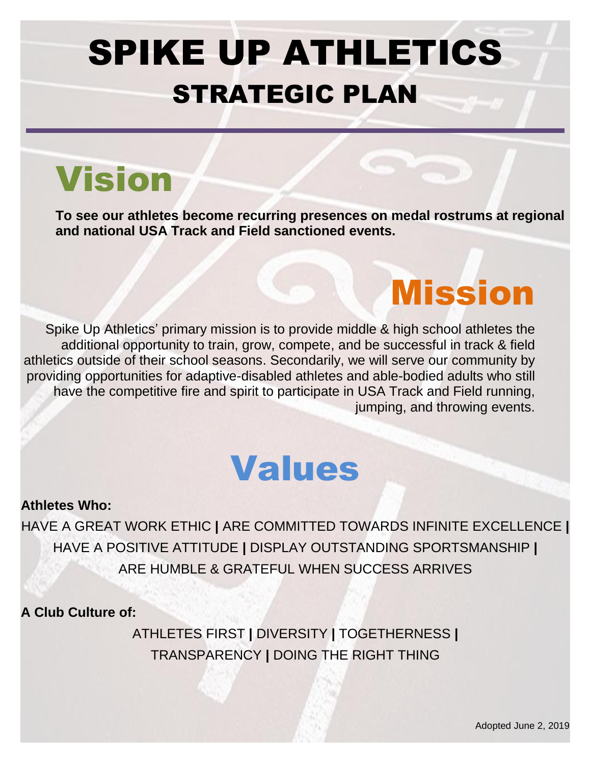# SPIKE UP ATHLETICS STRATEGIC PLAN

# Vision

**To see our athletes become recurring presences on medal rostrums at regional and national USA Track and Field sanctioned events.**

Spike Up Athletics' primary mission is to provide middle & high school athletes the additional opportunity to train, grow, compete, and be successful in track & field athletics outside of their school seasons. Secondarily, we will serve our community by providing opportunities for adaptive-disabled athletes and able-bodied adults who still have the competitive fire and spirit to participate in USA Track and Field running, jumping, and throwing events.

# Values

# **Athletes Who:**

HAVE A GREAT WORK ETHIC **|** ARE COMMITTED TOWARDS INFINITE EXCELLENCE **|**  HAVE A POSITIVE ATTITUDE **|** DISPLAY OUTSTANDING SPORTSMANSHIP **|**  ARE HUMBLE & GRATEFUL WHEN SUCCESS ARRIVES

**A Club Culture of:** 

ATHLETES FIRST **|** DIVERSITY **|** TOGETHERNESS **|** TRANSPARENCY **|** DOING THE RIGHT THING

Mission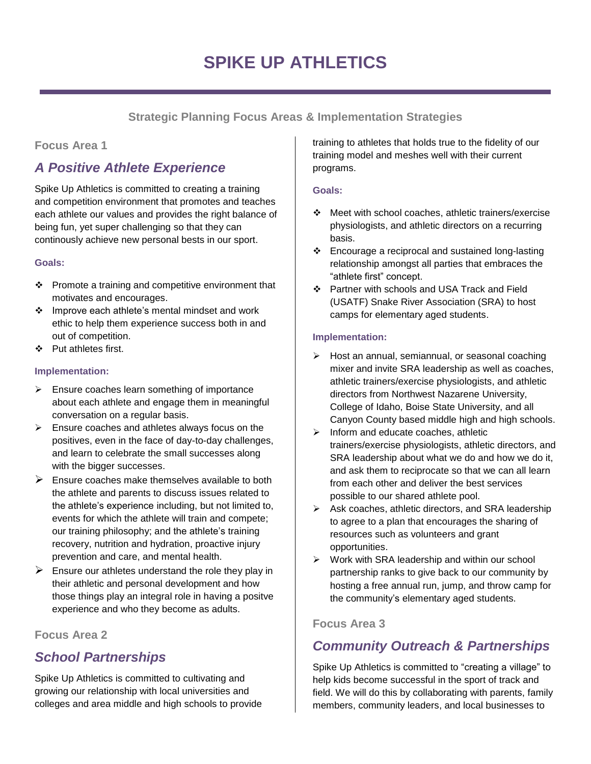**Strategic Planning Focus Areas & Implementation Strategies**

## **Focus Area 1**

# *A Positive Athlete Experience*

Spike Up Athletics is committed to creating a training and competition environment that promotes and teaches each athlete our values and provides the right balance of being fun, yet super challenging so that they can continously achieve new personal bests in our sport.

## **Goals:**

- ❖ Promote a training and competitive environment that motivates and encourages.
- ❖ Improve each athlete's mental mindset and work ethic to help them experience success both in and out of competition.
- ❖ Put athletes first.

## **Implementation:**

- ➢ Ensure coaches learn something of importance about each athlete and engage them in meaningful conversation on a regular basis.
- $\triangleright$  Ensure coaches and athletes always focus on the positives, even in the face of day-to-day challenges, and learn to celebrate the small successes along with the bigger successes.
- $\triangleright$  Ensure coaches make themselves available to both the athlete and parents to discuss issues related to the athlete's experience including, but not limited to, events for which the athlete will train and compete; our training philosophy; and the athlete's training recovery, nutrition and hydration, proactive injury prevention and care, and mental health.
- $\triangleright$  Ensure our athletes understand the role they play in their athletic and personal development and how those things play an integral role in having a positve experience and who they become as adults.

## **Focus Area 2**

# *School Partnerships*

Spike Up Athletics is committed to cultivating and growing our relationship with local universities and colleges and area middle and high schools to provide training to athletes that holds true to the fidelity of our training model and meshes well with their current programs.

### **Goals:**

- ❖ Meet with school coaches, athletic trainers/exercise physiologists, and athletic directors on a recurring basis.
- ❖ Encourage a reciprocal and sustained long-lasting relationship amongst all parties that embraces the "athlete first" concept.
- ❖ Partner with schools and USA Track and Field (USATF) Snake River Association (SRA) to host camps for elementary aged students.

## **Implementation:**

- ➢ Host an annual, semiannual, or seasonal coaching mixer and invite SRA leadership as well as coaches, athletic trainers/exercise physiologists, and athletic directors from Northwest Nazarene University, College of Idaho, Boise State University, and all Canyon County based middle high and high schools.
- ➢ Inform and educate coaches, athletic trainers/exercise physiologists, athletic directors, and SRA leadership about what we do and how we do it, and ask them to reciprocate so that we can all learn from each other and deliver the best services possible to our shared athlete pool.
- ➢ Ask coaches, athletic directors, and SRA leadership to agree to a plan that encourages the sharing of resources such as volunteers and grant opportunities.
- ➢ Work with SRA leadership and within our school partnership ranks to give back to our community by hosting a free annual run, jump, and throw camp for the community's elementary aged students.

## **Focus Area 3**

# *Community Outreach & Partnerships*

Spike Up Athletics is committed to "creating a village" to help kids become successful in the sport of track and field. We will do this by collaborating with parents, family members, community leaders, and local businesses to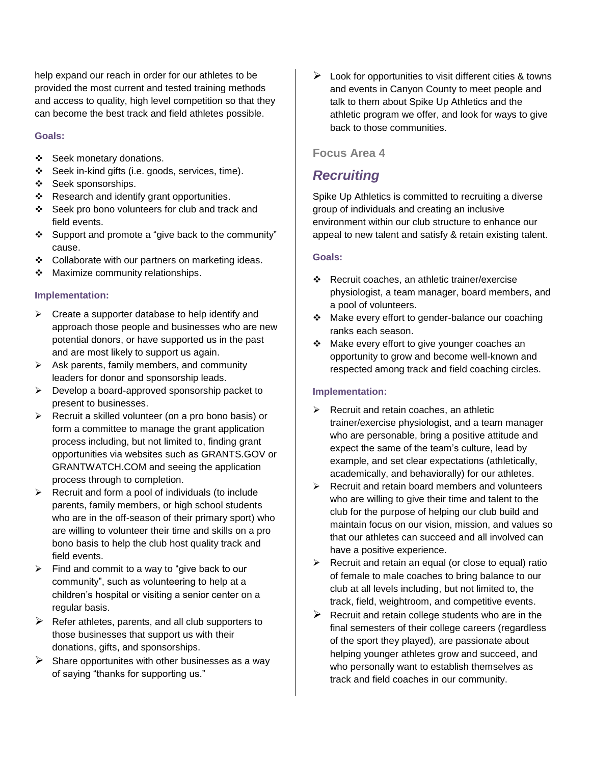help expand our reach in order for our athletes to be provided the most current and tested training methods and access to quality, high level competition so that they can become the best track and field athletes possible.

#### **Goals:**

- ❖ Seek monetary donations.
- ❖ Seek in-kind gifts (i.e. goods, services, time).
- ❖ Seek sponsorships.
- ❖ Research and identify grant opportunities.
- ❖ Seek pro bono volunteers for club and track and field events.
- ❖ Support and promote a "give back to the community" cause.
- ❖ Collaborate with our partners on marketing ideas.
- ❖ Maximize community relationships.

#### **Implementation:**

- $\triangleright$  Create a supporter database to help identify and approach those people and businesses who are new potential donors, or have supported us in the past and are most likely to support us again.
- ➢ Ask parents, family members, and community leaders for donor and sponsorship leads.
- $\triangleright$  Develop a board-approved sponsorship packet to present to businesses.
- ➢ Recruit a skilled volunteer (on a pro bono basis) or form a committee to manage the grant application process including, but not limited to, finding grant opportunities via websites such as GRANTS.GOV or GRANTWATCH.COM and seeing the application process through to completion.
- $\triangleright$  Recruit and form a pool of individuals (to include parents, family members, or high school students who are in the off-season of their primary sport) who are willing to volunteer their time and skills on a pro bono basis to help the club host quality track and field events.
- $\triangleright$  Find and commit to a way to "give back to our community", such as volunteering to help at a children's hospital or visiting a senior center on a regular basis.
- $\triangleright$  Refer athletes, parents, and all club supporters to those businesses that support us with their donations, gifts, and sponsorships.
- $\triangleright$  Share opportunites with other businesses as a way of saying "thanks for supporting us."

 $\triangleright$  Look for opportunities to visit different cities & towns and events in Canyon County to meet people and talk to them about Spike Up Athletics and the athletic program we offer, and look for ways to give back to those communities.

### **Focus Area 4**

## *Recruiting*

Spike Up Athletics is committed to recruiting a diverse group of individuals and creating an inclusive environment within our club structure to enhance our appeal to new talent and satisfy & retain existing talent.

#### **Goals:**

- ❖ Recruit coaches, an athletic trainer/exercise physiologist, a team manager, board members, and a pool of volunteers.
- ❖ Make every effort to gender-balance our coaching ranks each season.
- ❖ Make every effort to give younger coaches an opportunity to grow and become well-known and respected among track and field coaching circles.

#### **Implementation:**

- $\triangleright$  Recruit and retain coaches, an athletic trainer/exercise physiologist, and a team manager who are personable, bring a positive attitude and expect the same of the team's culture, lead by example, and set clear expectations (athletically, academically, and behaviorally) for our athletes.
- $\triangleright$  Recruit and retain board members and volunteers who are willing to give their time and talent to the club for the purpose of helping our club build and maintain focus on our vision, mission, and values so that our athletes can succeed and all involved can have a positive experience.
- ➢ Recruit and retain an equal (or close to equal) ratio of female to male coaches to bring balance to our club at all levels including, but not limited to, the track, field, weightroom, and competitive events.
- $\triangleright$  Recruit and retain college students who are in the final semesters of their college careers (regardless of the sport they played), are passionate about helping younger athletes grow and succeed, and who personally want to establish themselves as track and field coaches in our community.